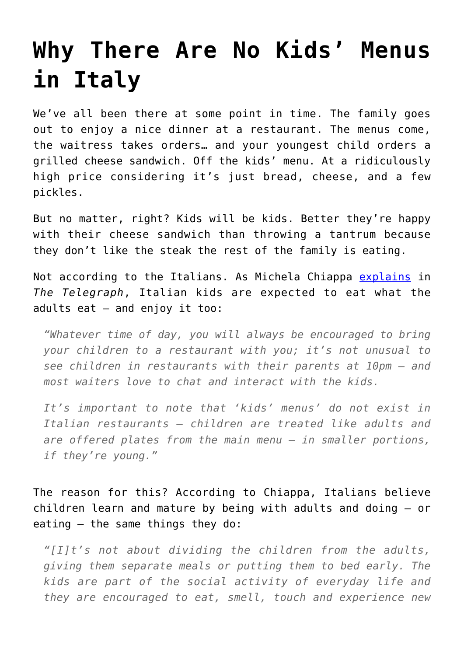## **[Why There Are No Kids' Menus](https://intellectualtakeout.org/2016/10/why-there-are-no-kids-menus-in-italy/) [in Italy](https://intellectualtakeout.org/2016/10/why-there-are-no-kids-menus-in-italy/)**

We've all been there at some point in time. The family goes out to enjoy a nice dinner at a restaurant. The menus come, the waitress takes orders… and your youngest child orders a grilled cheese sandwich. Off the kids' menu. At a ridiculously high price considering it's just bread, cheese, and a few pickles.

But no matter, right? Kids will be kids. Better they're happy with their cheese sandwich than throwing a tantrum because they don't like the steak the rest of the family is eating.

Not according to the Italians. As Michela Chiappa [explains](http://www.telegraph.co.uk/travel/family-holidays/michela-chiappa-why-italy-is-the-best-place-in-the-world-to-eat-with-children/) in *The Telegraph*, Italian kids are expected to eat what the adults eat – and enjoy it too:

*"Whatever time of day, you will always be encouraged to bring your children to a restaurant with you; it's not unusual to see children in restaurants with their parents at 10pm – and most waiters love to chat and interact with the kids.*

*It's important to note that 'kids' menus' do not exist in Italian restaurants – children are treated like adults and are offered plates from the main menu – in smaller portions, if they're young."*

The reason for this? According to Chiappa, Italians believe children learn and mature by being with adults and doing – or eating – the same things they do:

*"[I]t's not about dividing the children from the adults, giving them separate meals or putting them to bed early. The kids are part of the social activity of everyday life and they are encouraged to eat, smell, touch and experience new*